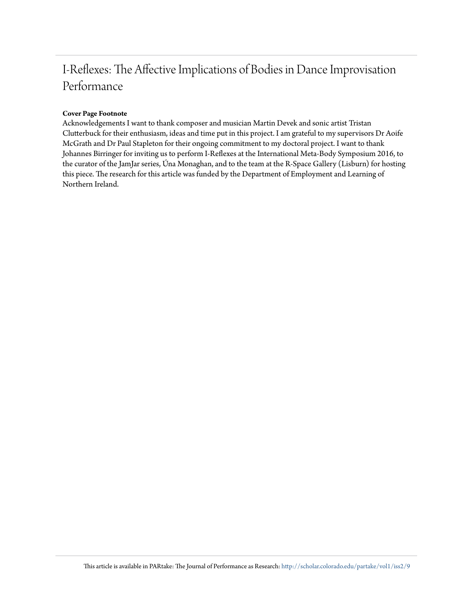# I-Reflexes: The Affective Implications of Bodies in Dance Improvisation Performance

## **Cover Page Footnote**

Acknowledgements I want to thank composer and musician Martin Devek and sonic artist Tristan Clutterbuck for their enthusiasm, ideas and time put in this project. I am grateful to my supervisors Dr Aoife McGrath and Dr Paul Stapleton for their ongoing commitment to my doctoral project. I want to thank Johannes Birringer for inviting us to perform I-Reflexes at the International Meta-Body Symposium 2016, to the curator of the JamJar series, Úna Monaghan, and to the team at the R-Space Gallery (Lisburn) for hosting this piece. The research for this article was funded by the Department of Employment and Learning of Northern Ireland.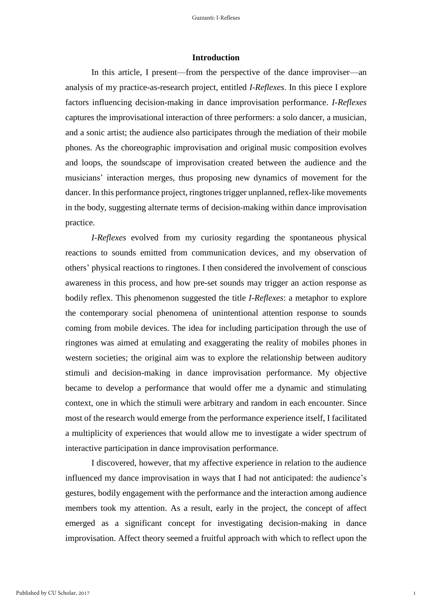#### **Introduction**

In this article, I present—from the perspective of the dance improviser—an analysis of my practice-as-research project, entitled *I-Reflexes*. In this piece I explore factors influencing decision-making in dance improvisation performance. *I-Reflexes* captures the improvisational interaction of three performers: a solo dancer, a musician, and a sonic artist; the audience also participates through the mediation of their mobile phones. As the choreographic improvisation and original music composition evolves and loops, the soundscape of improvisation created between the audience and the musicians' interaction merges, thus proposing new dynamics of movement for the dancer. In this performance project, ringtones trigger unplanned, reflex-like movements in the body, suggesting alternate terms of decision-making within dance improvisation practice.

*I-Reflexes* evolved from my curiosity regarding the spontaneous physical reactions to sounds emitted from communication devices, and my observation of others' physical reactions to ringtones. I then considered the involvement of conscious awareness in this process, and how pre-set sounds may trigger an action response as bodily reflex. This phenomenon suggested the title *I-Reflexes*: a metaphor to explore the contemporary social phenomena of unintentional attention response to sounds coming from mobile devices. The idea for including participation through the use of ringtones was aimed at emulating and exaggerating the reality of mobiles phones in western societies; the original aim was to explore the relationship between auditory stimuli and decision-making in dance improvisation performance. My objective became to develop a performance that would offer me a dynamic and stimulating context, one in which the stimuli were arbitrary and random in each encounter. Since most of the research would emerge from the performance experience itself, I facilitated a multiplicity of experiences that would allow me to investigate a wider spectrum of interactive participation in dance improvisation performance.

I discovered, however, that my affective experience in relation to the audience influenced my dance improvisation in ways that I had not anticipated: the audience's gestures, bodily engagement with the performance and the interaction among audience members took my attention. As a result, early in the project, the concept of affect emerged as a significant concept for investigating decision-making in dance improvisation. Affect theory seemed a fruitful approach with which to reflect upon the

1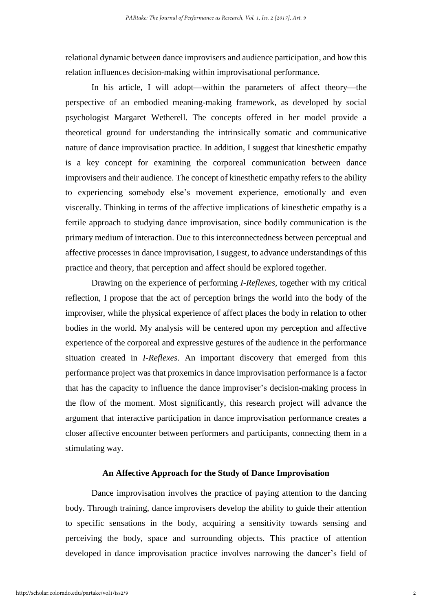relational dynamic between dance improvisers and audience participation, and how this relation influences decision-making within improvisational performance.

In his article, I will adopt—within the parameters of affect theory—the perspective of an embodied meaning-making framework, as developed by social psychologist Margaret Wetherell. The concepts offered in her model provide a theoretical ground for understanding the intrinsically somatic and communicative nature of dance improvisation practice. In addition, I suggest that kinesthetic empathy is a key concept for examining the corporeal communication between dance improvisers and their audience. The concept of kinesthetic empathy refers to the ability to experiencing somebody else's movement experience, emotionally and even viscerally. Thinking in terms of the affective implications of kinesthetic empathy is a fertile approach to studying dance improvisation, since bodily communication is the primary medium of interaction. Due to this interconnectedness between perceptual and affective processes in dance improvisation, I suggest, to advance understandings of this practice and theory, that perception and affect should be explored together.

Drawing on the experience of performing *I-Reflexes,* together with my critical reflection, I propose that the act of perception brings the world into the body of the improviser, while the physical experience of affect places the body in relation to other bodies in the world. My analysis will be centered upon my perception and affective experience of the corporeal and expressive gestures of the audience in the performance situation created in *I-Reflexes*. An important discovery that emerged from this performance project was that proxemics in dance improvisation performance is a factor that has the capacity to influence the dance improviser's decision-making process in the flow of the moment. Most significantly, this research project will advance the argument that interactive participation in dance improvisation performance creates a closer affective encounter between performers and participants, connecting them in a stimulating way.

#### **An Affective Approach for the Study of Dance Improvisation**

Dance improvisation involves the practice of paying attention to the dancing body. Through training, dance improvisers develop the ability to guide their attention to specific sensations in the body, acquiring a sensitivity towards sensing and perceiving the body, space and surrounding objects. This practice of attention developed in dance improvisation practice involves narrowing the dancer's field of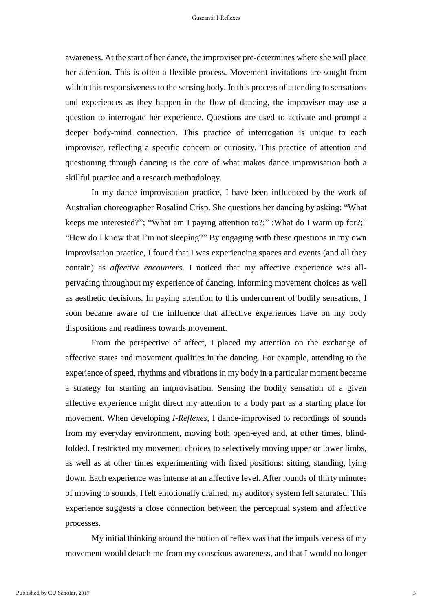awareness. At the start of her dance, the improviser pre-determines where she will place her attention. This is often a flexible process. Movement invitations are sought from within this responsiveness to the sensing body. In this process of attending to sensations and experiences as they happen in the flow of dancing, the improviser may use a question to interrogate her experience. Questions are used to activate and prompt a deeper body-mind connection. This practice of interrogation is unique to each improviser, reflecting a specific concern or curiosity. This practice of attention and questioning through dancing is the core of what makes dance improvisation both a skillful practice and a research methodology.

In my dance improvisation practice, I have been influenced by the work of Australian choreographer Rosalind Crisp. She questions her dancing by asking: "What keeps me interested?"; "What am I paying attention to?;" :What do I warm up for?;" "How do I know that I'm not sleeping?" By engaging with these questions in my own improvisation practice, I found that I was experiencing spaces and events (and all they contain) as *affective encounters*. I noticed that my affective experience was allpervading throughout my experience of dancing, informing movement choices as well as aesthetic decisions. In paying attention to this undercurrent of bodily sensations, I soon became aware of the influence that affective experiences have on my body dispositions and readiness towards movement.

From the perspective of affect, I placed my attention on the exchange of affective states and movement qualities in the dancing. For example, attending to the experience of speed, rhythms and vibrations in my body in a particular moment became a strategy for starting an improvisation. Sensing the bodily sensation of a given affective experience might direct my attention to a body part as a starting place for movement. When developing *I-Reflexes,* I dance-improvised to recordings of sounds from my everyday environment, moving both open-eyed and, at other times, blindfolded. I restricted my movement choices to selectively moving upper or lower limbs, as well as at other times experimenting with fixed positions: sitting, standing, lying down. Each experience was intense at an affective level. After rounds of thirty minutes of moving to sounds, I felt emotionally drained; my auditory system felt saturated. This experience suggests a close connection between the perceptual system and affective processes.

My initial thinking around the notion of reflex was that the impulsiveness of my movement would detach me from my conscious awareness, and that I would no longer

3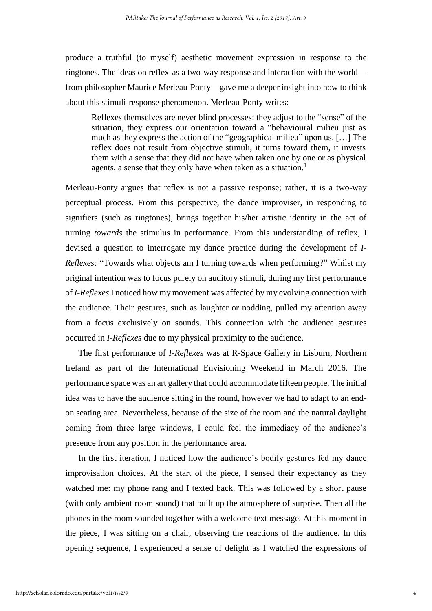produce a truthful (to myself) aesthetic movement expression in response to the ringtones. The ideas on reflex-as a two-way response and interaction with the world from philosopher Maurice Merleau-Ponty—gave me a deeper insight into how to think about this stimuli-response phenomenon. Merleau-Ponty writes:

Reflexes themselves are never blind processes: they adjust to the "sense" of the situation, they express our orientation toward a "behavioural milieu just as much as they express the action of the "geographical milieu" upon us. […] The reflex does not result from objective stimuli, it turns toward them, it invests them with a sense that they did not have when taken one by one or as physical agents, a sense that they only have when taken as a situation.<sup>1</sup>

Merleau-Ponty argues that reflex is not a passive response; rather, it is a two-way perceptual process. From this perspective, the dance improviser, in responding to signifiers (such as ringtones), brings together his/her artistic identity in the act of turning *towards* the stimulus in performance. From this understanding of reflex, I devised a question to interrogate my dance practice during the development of *I-Reflexes:* "Towards what objects am I turning towards when performing?" Whilst my original intention was to focus purely on auditory stimuli, during my first performance of *I-Reflexes* I noticed how my movement was affected by my evolving connection with the audience. Their gestures, such as laughter or nodding, pulled my attention away from a focus exclusively on sounds. This connection with the audience gestures occurred in *I-Reflexes* due to my physical proximity to the audience.

The first performance of *I-Reflexes* was at R-Space Gallery in Lisburn, Northern Ireland as part of the International Envisioning Weekend in March 2016. The performance space was an art gallery that could accommodate fifteen people. The initial idea was to have the audience sitting in the round, however we had to adapt to an endon seating area. Nevertheless, because of the size of the room and the natural daylight coming from three large windows, I could feel the immediacy of the audience's presence from any position in the performance area.

In the first iteration, I noticed how the audience's bodily gestures fed my dance improvisation choices. At the start of the piece, I sensed their expectancy as they watched me: my phone rang and I texted back. This was followed by a short pause (with only ambient room sound) that built up the atmosphere of surprise. Then all the phones in the room sounded together with a welcome text message. At this moment in the piece, I was sitting on a chair, observing the reactions of the audience. In this opening sequence, I experienced a sense of delight as I watched the expressions of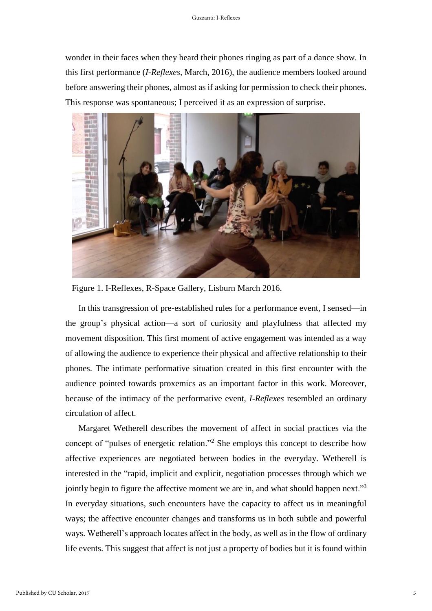wonder in their faces when they heard their phones ringing as part of a dance show. In this first performance (*I-Reflexes,* March, 2016), the audience members looked around before answering their phones, almost as if asking for permission to check their phones. This response was spontaneous; I perceived it as an expression of surprise.



Figure 1. I-Reflexes, R-Space Gallery, Lisburn March 2016.

In this transgression of pre-established rules for a performance event, I sensed—in the group's physical action—a sort of curiosity and playfulness that affected my movement disposition. This first moment of active engagement was intended as a way of allowing the audience to experience their physical and affective relationship to their phones. The intimate performative situation created in this first encounter with the audience pointed towards proxemics as an important factor in this work. Moreover, because of the intimacy of the performative event, *I-Reflexes* resembled an ordinary circulation of affect.

Margaret Wetherell describes the movement of affect in social practices via the concept of "pulses of energetic relation."<sup>2</sup> She employs this concept to describe how affective experiences are negotiated between bodies in the everyday. Wetherell is interested in the "rapid, implicit and explicit, negotiation processes through which we jointly begin to figure the affective moment we are in, and what should happen next."<sup>3</sup> In everyday situations, such encounters have the capacity to affect us in meaningful ways; the affective encounter changes and transforms us in both subtle and powerful ways. Wetherell's approach locates affect in the body, as well as in the flow of ordinary life events. This suggest that affect is not just a property of bodies but it is found within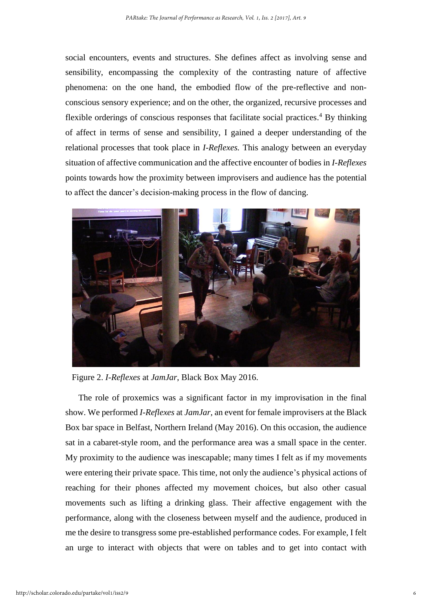social encounters, events and structures. She defines affect as involving sense and sensibility, encompassing the complexity of the contrasting nature of affective phenomena: on the one hand, the embodied flow of the pre-reflective and nonconscious sensory experience; and on the other, the organized, recursive processes and flexible orderings of conscious responses that facilitate social practices. <sup>4</sup> By thinking of affect in terms of sense and sensibility, I gained a deeper understanding of the relational processes that took place in *I-Reflexes.* This analogy between an everyday situation of affective communication and the affective encounter of bodies in *I-Reflexes* points towards how the proximity between improvisers and audience has the potential to affect the dancer's decision-making process in the flow of dancing.



Figure 2. *I-Reflexes* at *JamJar*, Black Box May 2016.

The role of proxemics was a significant factor in my improvisation in the final show. We performed *I-Reflexes* at *JamJar,* an event for female improvisers at the Black Box bar space in Belfast, Northern Ireland (May 2016). On this occasion, the audience sat in a cabaret-style room, and the performance area was a small space in the center. My proximity to the audience was inescapable; many times I felt as if my movements were entering their private space. This time, not only the audience's physical actions of reaching for their phones affected my movement choices, but also other casual movements such as lifting a drinking glass. Their affective engagement with the performance, along with the closeness between myself and the audience, produced in me the desire to transgress some pre-established performance codes. For example, I felt an urge to interact with objects that were on tables and to get into contact with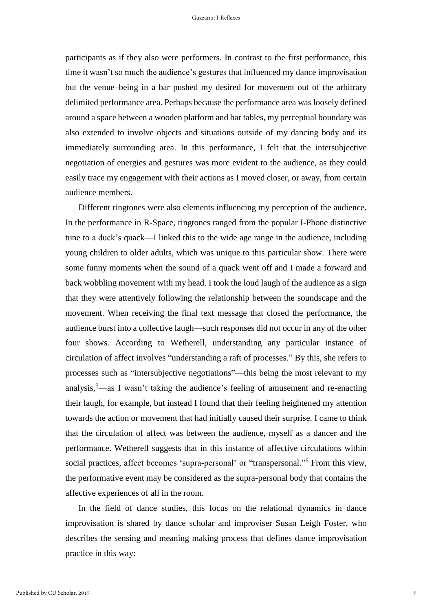participants as if they also were performers. In contrast to the first performance, this time it wasn't so much the audience's gestures that influenced my dance improvisation but the venue–being in a bar pushed my desired for movement out of the arbitrary delimited performance area. Perhaps because the performance area was loosely defined around a space between a wooden platform and bar tables, my perceptual boundary was also extended to involve objects and situations outside of my dancing body and its immediately surrounding area. In this performance, I felt that the intersubjective negotiation of energies and gestures was more evident to the audience, as they could easily trace my engagement with their actions as I moved closer, or away, from certain audience members.

Different ringtones were also elements influencing my perception of the audience. In the performance in R-Space, ringtones ranged from the popular I-Phone distinctive tune to a duck's quack—I linked this to the wide age range in the audience, including young children to older adults, which was unique to this particular show. There were some funny moments when the sound of a quack went off and I made a forward and back wobbling movement with my head. I took the loud laugh of the audience as a sign that they were attentively following the relationship between the soundscape and the movement. When receiving the final text message that closed the performance, the audience burst into a collective laugh—such responses did not occur in any of the other four shows. According to Wetherell, understanding any particular instance of circulation of affect involves "understanding a raft of processes." By this, she refers to processes such as "intersubjective negotiations"—this being the most relevant to my analysis, <sup>5</sup>—as I wasn't taking the audience's feeling of amusement and re-enacting their laugh, for example, but instead I found that their feeling heightened my attention towards the action or movement that had initially caused their surprise. I came to think that the circulation of affect was between the audience, myself as a dancer and the performance. Wetherell suggests that in this instance of affective circulations within social practices, affect becomes 'supra-personal' or "transpersonal."<sup>6</sup> From this view, the performative event may be considered as the supra-personal body that contains the affective experiences of all in the room.

In the field of dance studies, this focus on the relational dynamics in dance improvisation is shared by dance scholar and improviser Susan Leigh Foster, who describes the sensing and meaning making process that defines dance improvisation practice in this way:

7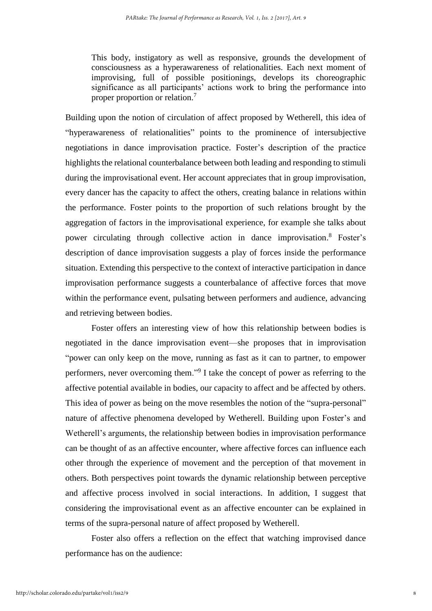This body, instigatory as well as responsive, grounds the development of consciousness as a hyperawareness of relationalities. Each next moment of improvising, full of possible positionings, develops its choreographic significance as all participants' actions work to bring the performance into proper proportion or relation.<sup>7</sup>

Building upon the notion of circulation of affect proposed by Wetherell, this idea of "hyperawareness of relationalities" points to the prominence of intersubjective negotiations in dance improvisation practice. Foster's description of the practice highlights the relational counterbalance between both leading and responding to stimuli during the improvisational event. Her account appreciates that in group improvisation, every dancer has the capacity to affect the others, creating balance in relations within the performance. Foster points to the proportion of such relations brought by the aggregation of factors in the improvisational experience, for example she talks about power circulating through collective action in dance improvisation. <sup>8</sup> Foster's description of dance improvisation suggests a play of forces inside the performance situation. Extending this perspective to the context of interactive participation in dance improvisation performance suggests a counterbalance of affective forces that move within the performance event, pulsating between performers and audience, advancing and retrieving between bodies.

Foster offers an interesting view of how this relationship between bodies is negotiated in the dance improvisation event—she proposes that in improvisation "power can only keep on the move, running as fast as it can to partner, to empower performers, never overcoming them."<sup>9</sup> I take the concept of power as referring to the affective potential available in bodies, our capacity to affect and be affected by others. This idea of power as being on the move resembles the notion of the "supra-personal" nature of affective phenomena developed by Wetherell. Building upon Foster's and Wetherell's arguments, the relationship between bodies in improvisation performance can be thought of as an affective encounter, where affective forces can influence each other through the experience of movement and the perception of that movement in others. Both perspectives point towards the dynamic relationship between perceptive and affective process involved in social interactions. In addition, I suggest that considering the improvisational event as an affective encounter can be explained in terms of the supra-personal nature of affect proposed by Wetherell.

Foster also offers a reflection on the effect that watching improvised dance performance has on the audience: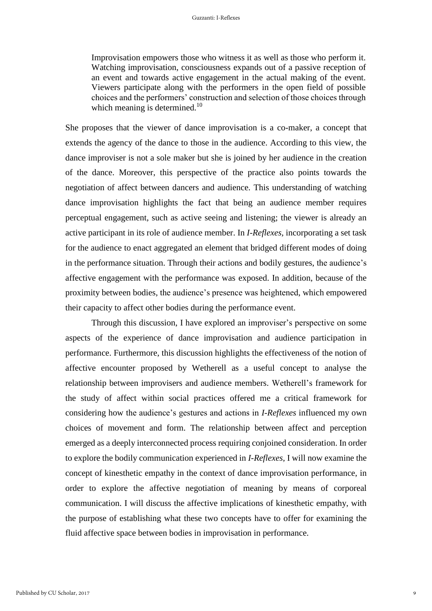Improvisation empowers those who witness it as well as those who perform it. Watching improvisation, consciousness expands out of a passive reception of an event and towards active engagement in the actual making of the event. Viewers participate along with the performers in the open field of possible choices and the performers' construction and selection of those choices through which meaning is determined.<sup>10</sup>

She proposes that the viewer of dance improvisation is a co-maker, a concept that extends the agency of the dance to those in the audience. According to this view, the dance improviser is not a sole maker but she is joined by her audience in the creation of the dance. Moreover, this perspective of the practice also points towards the negotiation of affect between dancers and audience. This understanding of watching dance improvisation highlights the fact that being an audience member requires perceptual engagement, such as active seeing and listening; the viewer is already an active participant in its role of audience member. In *I-Reflexes,* incorporating a set task for the audience to enact aggregated an element that bridged different modes of doing in the performance situation. Through their actions and bodily gestures, the audience's affective engagement with the performance was exposed. In addition, because of the proximity between bodies, the audience's presence was heightened, which empowered their capacity to affect other bodies during the performance event.

Through this discussion, I have explored an improviser's perspective on some aspects of the experience of dance improvisation and audience participation in performance. Furthermore, this discussion highlights the effectiveness of the notion of affective encounter proposed by Wetherell as a useful concept to analyse the relationship between improvisers and audience members. Wetherell's framework for the study of affect within social practices offered me a critical framework for considering how the audience's gestures and actions in *I-Reflexes* influenced my own choices of movement and form. The relationship between affect and perception emerged as a deeply interconnected process requiring conjoined consideration. In order to explore the bodily communication experienced in *I-Reflexes,* I will now examine the concept of kinesthetic empathy in the context of dance improvisation performance, in order to explore the affective negotiation of meaning by means of corporeal communication. I will discuss the affective implications of kinesthetic empathy, with the purpose of establishing what these two concepts have to offer for examining the fluid affective space between bodies in improvisation in performance.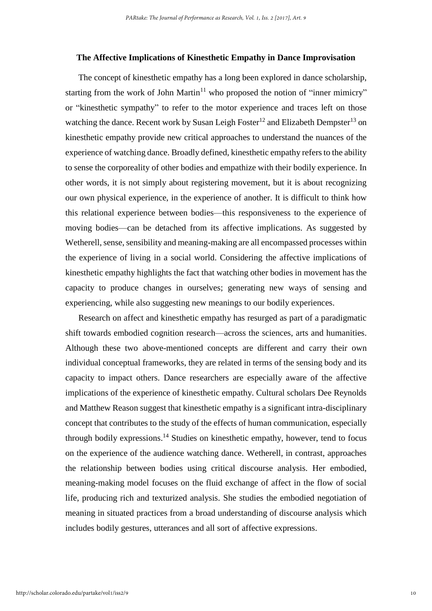## **The Affective Implications of Kinesthetic Empathy in Dance Improvisation**

The concept of kinesthetic empathy has a long been explored in dance scholarship, starting from the work of John Martin<sup>11</sup> who proposed the notion of "inner mimicry" or "kinesthetic sympathy" to refer to the motor experience and traces left on those watching the dance. Recent work by Susan Leigh Foster<sup>12</sup> and Elizabeth Dempster<sup>13</sup> on kinesthetic empathy provide new critical approaches to understand the nuances of the experience of watching dance. Broadly defined, kinesthetic empathy refers to the ability to sense the corporeality of other bodies and empathize with their bodily experience. In other words, it is not simply about registering movement, but it is about recognizing our own physical experience, in the experience of another. It is difficult to think how this relational experience between bodies—this responsiveness to the experience of moving bodies—can be detached from its affective implications. As suggested by Wetherell, sense, sensibility and meaning-making are all encompassed processes within the experience of living in a social world. Considering the affective implications of kinesthetic empathy highlights the fact that watching other bodies in movement has the capacity to produce changes in ourselves; generating new ways of sensing and experiencing, while also suggesting new meanings to our bodily experiences.

Research on affect and kinesthetic empathy has resurged as part of a paradigmatic shift towards embodied cognition research—across the sciences, arts and humanities. Although these two above-mentioned concepts are different and carry their own individual conceptual frameworks, they are related in terms of the sensing body and its capacity to impact others. Dance researchers are especially aware of the affective implications of the experience of kinesthetic empathy. Cultural scholars Dee Reynolds and Matthew Reason suggest that kinesthetic empathy is a significant intra-disciplinary concept that contributes to the study of the effects of human communication, especially through bodily expressions. <sup>14</sup> Studies on kinesthetic empathy, however, tend to focus on the experience of the audience watching dance. Wetherell, in contrast, approaches the relationship between bodies using critical discourse analysis. Her embodied, meaning-making model focuses on the fluid exchange of affect in the flow of social life, producing rich and texturized analysis. She studies the embodied negotiation of meaning in situated practices from a broad understanding of discourse analysis which includes bodily gestures, utterances and all sort of affective expressions.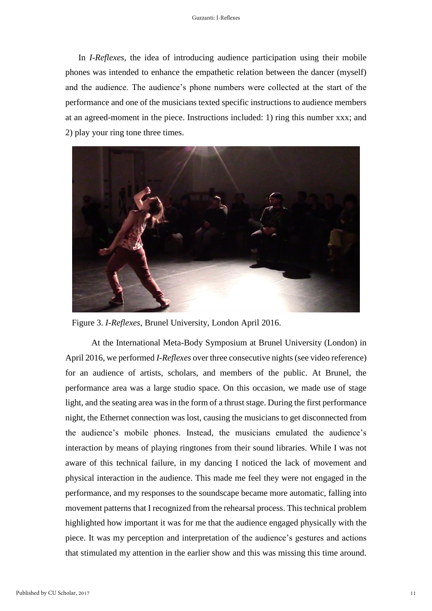In *I-Reflexes,* the idea of introducing audience participation using their mobile phones was intended to enhance the empathetic relation between the dancer (myself) and the audience. The audience's phone numbers were collected at the start of the performance and one of the musicians texted specific instructions to audience members at an agreed-moment in the piece. Instructions included: 1) ring this number xxx; and 2) play your ring tone three times.



Figure 3. *I-Reflexes*, Brunel University, London April 2016.

At the International Meta-Body Symposium at Brunel University (London) in April 2016, we performed *I-Reflexes* over three consecutive nights (see video reference) for an audience of artists, scholars, and members of the public. At Brunel, the performance area was a large studio space. On this occasion, we made use of stage light, and the seating area was in the form of a thrust stage. During the first performance night, the Ethernet connection was lost, causing the musicians to get disconnected from the audience's mobile phones. Instead, the musicians emulated the audience's interaction by means of playing ringtones from their sound libraries. While I was not aware of this technical failure, in my dancing I noticed the lack of movement and physical interaction in the audience. This made me feel they were not engaged in the performance, and my responses to the soundscape became more automatic, falling into movement patterns that I recognized from the rehearsal process. This technical problem highlighted how important it was for me that the audience engaged physically with the piece. It was my perception and interpretation of the audience's gestures and actions that stimulated my attention in the earlier show and this was missing this time around.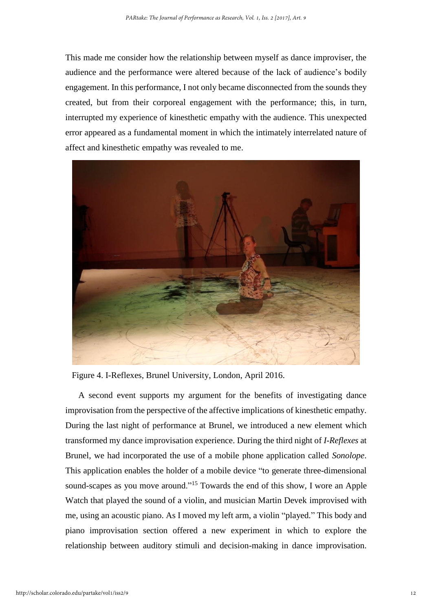This made me consider how the relationship between myself as dance improviser, the audience and the performance were altered because of the lack of audience's bodily engagement. In this performance, I not only became disconnected from the sounds they created, but from their corporeal engagement with the performance; this, in turn, interrupted my experience of kinesthetic empathy with the audience. This unexpected error appeared as a fundamental moment in which the intimately interrelated nature of affect and kinesthetic empathy was revealed to me.



Figure 4. I-Reflexes, Brunel University, London, April 2016.

A second event supports my argument for the benefits of investigating dance improvisation from the perspective of the affective implications of kinesthetic empathy. During the last night of performance at Brunel, we introduced a new element which transformed my dance improvisation experience. During the third night of *I-Reflexes* at Brunel*,* we had incorporated the use of a mobile phone application called *Sonolope*. This application enables the holder of a mobile device "to generate three-dimensional sound-scapes as you move around."<sup>15</sup> Towards the end of this show, I wore an Apple Watch that played the sound of a violin, and musician Martin Devek improvised with me, using an acoustic piano. As I moved my left arm, a violin "played." This body and piano improvisation section offered a new experiment in which to explore the relationship between auditory stimuli and decision-making in dance improvisation.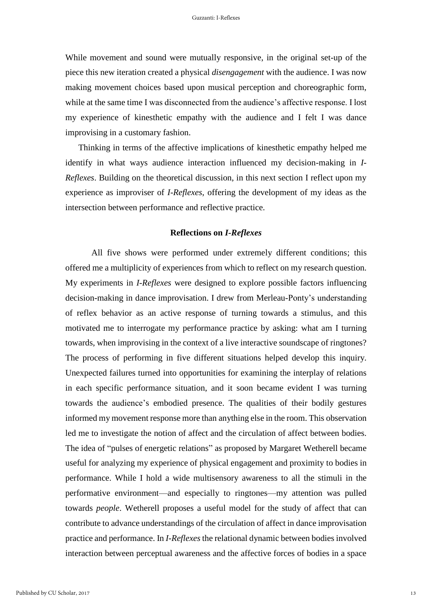While movement and sound were mutually responsive, in the original set-up of the piece this new iteration created a physical *disengagement* with the audience. I was now making movement choices based upon musical perception and choreographic form, while at the same time I was disconnected from the audience's affective response. I lost my experience of kinesthetic empathy with the audience and I felt I was dance improvising in a customary fashion.

Thinking in terms of the affective implications of kinesthetic empathy helped me identify in what ways audience interaction influenced my decision-making in *I-Reflexes*. Building on the theoretical discussion, in this next section I reflect upon my experience as improviser of *I-Reflexes*, offering the development of my ideas as the intersection between performance and reflective practice.

#### **Reflections on** *I-Reflexes*

All five shows were performed under extremely different conditions; this offered me a multiplicity of experiences from which to reflect on my research question. My experiments in *I-Reflexes* were designed to explore possible factors influencing decision-making in dance improvisation. I drew from Merleau-Ponty's understanding of reflex behavior as an active response of turning towards a stimulus, and this motivated me to interrogate my performance practice by asking: what am I turning towards, when improvising in the context of a live interactive soundscape of ringtones? The process of performing in five different situations helped develop this inquiry. Unexpected failures turned into opportunities for examining the interplay of relations in each specific performance situation, and it soon became evident I was turning towards the audience's embodied presence. The qualities of their bodily gestures informed my movement response more than anything else in the room. This observation led me to investigate the notion of affect and the circulation of affect between bodies. The idea of "pulses of energetic relations" as proposed by Margaret Wetherell became useful for analyzing my experience of physical engagement and proximity to bodies in performance. While I hold a wide multisensory awareness to all the stimuli in the performative environment—and especially to ringtones—my attention was pulled towards *people*. Wetherell proposes a useful model for the study of affect that can contribute to advance understandings of the circulation of affect in dance improvisation practice and performance. In *I-Reflexes* the relational dynamic between bodies involved interaction between perceptual awareness and the affective forces of bodies in a space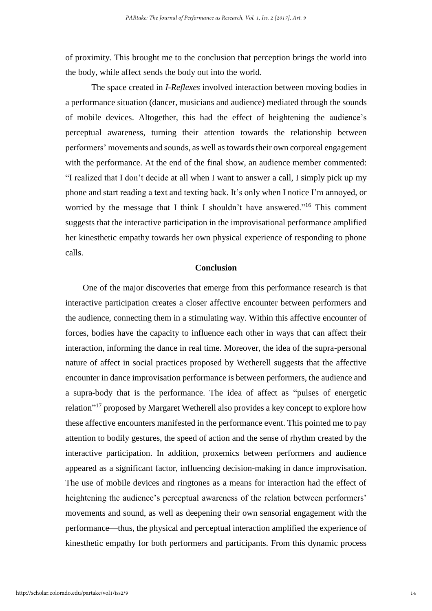of proximity. This brought me to the conclusion that perception brings the world into the body, while affect sends the body out into the world.

The space created in *I-Reflexes* involved interaction between moving bodies in a performance situation (dancer, musicians and audience) mediated through the sounds of mobile devices. Altogether, this had the effect of heightening the audience's perceptual awareness, turning their attention towards the relationship between performers' movements and sounds, as well as towards their own corporeal engagement with the performance. At the end of the final show, an audience member commented: "I realized that I don't decide at all when I want to answer a call, I simply pick up my phone and start reading a text and texting back. It's only when I notice I'm annoyed, or worried by the message that I think I shouldn't have answered."<sup>16</sup> This comment suggests that the interactive participation in the improvisational performance amplified her kinesthetic empathy towards her own physical experience of responding to phone calls.

### **Conclusion**

One of the major discoveries that emerge from this performance research is that interactive participation creates a closer affective encounter between performers and the audience, connecting them in a stimulating way. Within this affective encounter of forces, bodies have the capacity to influence each other in ways that can affect their interaction, informing the dance in real time. Moreover, the idea of the supra-personal nature of affect in social practices proposed by Wetherell suggests that the affective encounter in dance improvisation performance is between performers, the audience and a supra-body that is the performance. The idea of affect as "pulses of energetic relation"<sup>17</sup> proposed by Margaret Wetherell also provides a key concept to explore how these affective encounters manifested in the performance event. This pointed me to pay attention to bodily gestures, the speed of action and the sense of rhythm created by the interactive participation. In addition, proxemics between performers and audience appeared as a significant factor, influencing decision-making in dance improvisation. The use of mobile devices and ringtones as a means for interaction had the effect of heightening the audience's perceptual awareness of the relation between performers' movements and sound, as well as deepening their own sensorial engagement with the performance—thus, the physical and perceptual interaction amplified the experience of kinesthetic empathy for both performers and participants. From this dynamic process